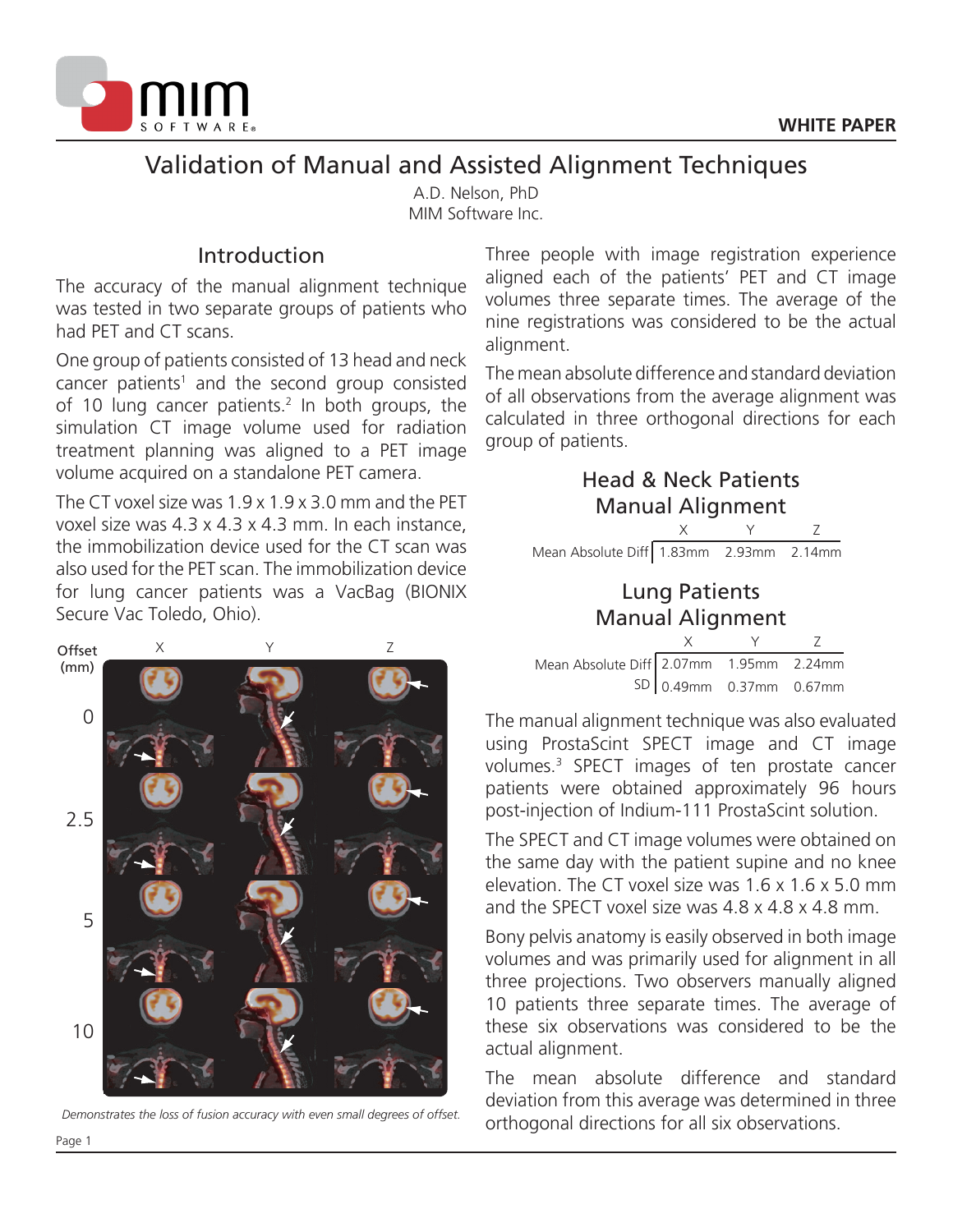

# Validation of Manual and Assisted Alignment Techniques

A.D. Nelson, PhD MIM Software Inc.

## Introduction

The accuracy of the manual alignment technique was tested in two separate groups of patients who had PET and CT scans.

One group of patients consisted of 13 head and neck cancer patients<sup>1</sup> and the second group consisted of 10 lung cancer patients.<sup>2</sup> In both groups, the simulation CT image volume used for radiation treatment planning was aligned to a PET image volume acquired on a standalone PET camera.

The CT voxel size was 1.9 x 1.9 x 3.0 mm and the PET voxel size was 4.3 x 4.3 x 4.3 mm. In each instance, the immobilization device used for the CT scan was also used for the PET scan. The immobilization device for lung cancer patients was a VacBag (BIONIX Secure Vac Toledo, Ohio).

Three people with image registration experience aligned each of the patients' PET and CT image volumes three separate times. The average of the nine registrations was considered to be the actual alignment.

The mean absolute difference and standard deviation of all observations from the average alignment was calculated in three orthogonal directions for each group of patients.

| <b>Head &amp; Neck Patients</b><br><b>Manual Alignment</b> |   |                              |  |  |  |
|------------------------------------------------------------|---|------------------------------|--|--|--|
|                                                            | X |                              |  |  |  |
| Mean Absolute Diff 1.83mm 2.93mm 2.14mm                    |   |                              |  |  |  |
| <b>Lung Patients</b><br><b>Manual Alignment</b>            |   |                              |  |  |  |
|                                                            |   |                              |  |  |  |
| Mean Absolute Diff 2.07mm 1.95mm 2.24mm                    |   |                              |  |  |  |
|                                                            |   | $SD   0.49$ mm 0.37mm 0.67mm |  |  |  |

The manual alignment technique was also evaluated using ProstaScint SPECT image and CT image volumes.3 SPECT images of ten prostate cancer patients were obtained approximately 96 hours post-injection of Indium-111 ProstaScint solution.

The SPECT and CT image volumes were obtained on the same day with the patient supine and no knee elevation. The CT voxel size was 1.6 x 1.6 x 5.0 mm and the SPECT voxel size was 4.8 x 4.8 x 4.8 mm.

Bony pelvis anatomy is easily observed in both image volumes and was primarily used for alignment in all three projections. Two observers manually aligned 10 patients three separate times. The average of these six observations was considered to be the actual alignment.

The mean absolute difference and standard deviation from this average was determined in three orthogonal directions for all six observations.



*Demonstrates the loss of fusion accuracy with even small degrees of offset.*